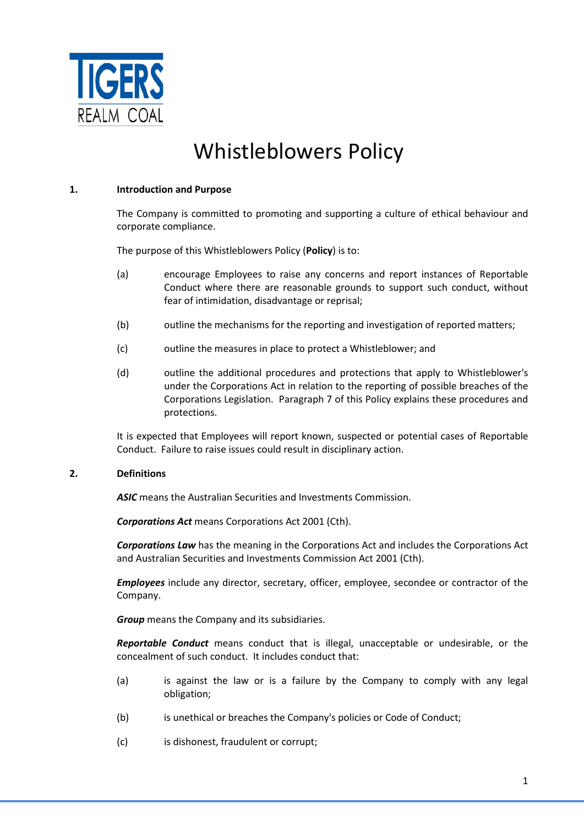

# Whistleblowers Policy

#### **1. Introduction and Purpose**

The Company is committed to promoting and supporting a culture of ethical behaviour and corporate compliance.

The purpose of this Whistleblowers Policy (**Policy**) is to:

- (a) encourage Employees to raise any concerns and report instances of Reportable Conduct where there are reasonable grounds to support such conduct, without fear of intimidation, disadvantage or reprisal;
- (b) outline the mechanisms for the reporting and investigation of reported matters;
- (c) outline the measures in place to protect a Whistleblower; and
- (d) outline the additional procedures and protections that apply to Whistleblower's under the Corporations Act in relation to the reporting of possible breaches of the Corporations Legislation. Paragraph 7 of this Policy explains these procedures and protections.

It is expected that Employees will report known, suspected or potential cases of Reportable Conduct. Failure to raise issues could result in disciplinary action.

## **2. Definitions**

*ASIC* means the Australian Securities and Investments Commission.

*Corporations Act* means Corporations Act 2001 (Cth).

*Corporations Law* has the meaning in the Corporations Act and includes the Corporations Act and Australian Securities and Investments Commission Act 2001 (Cth).

*Employees* include any director, secretary, officer, employee, secondee or contractor of the Company.

*Group* means the Company and its subsidiaries.

*Reportable Conduct* means conduct that is illegal, unacceptable or undesirable, or the concealment of such conduct. It includes conduct that:

- (a) is against the law or is a failure by the Company to comply with any legal obligation;
- (b) is unethical or breaches the Company's policies or Code of Conduct;
- (c) is dishonest, fraudulent or corrupt;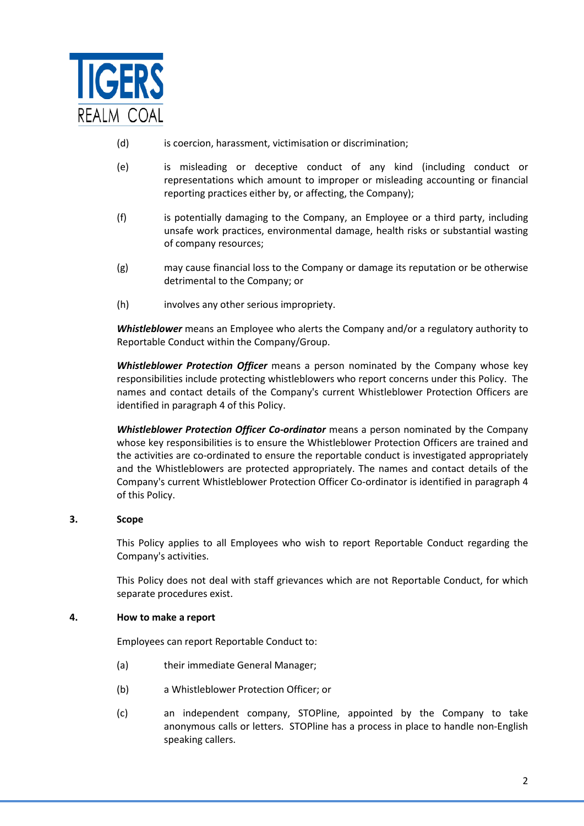

- (d) is coercion, harassment, victimisation or discrimination;
- (e) is misleading or deceptive conduct of any kind (including conduct or representations which amount to improper or misleading accounting or financial reporting practices either by, or affecting, the Company);
- (f) is potentially damaging to the Company, an Employee or a third party, including unsafe work practices, environmental damage, health risks or substantial wasting of company resources;
- (g) may cause financial loss to the Company or damage its reputation or be otherwise detrimental to the Company; or
- (h) involves any other serious impropriety.

*Whistleblower* means an Employee who alerts the Company and/or a regulatory authority to Reportable Conduct within the Company/Group.

*Whistleblower Protection Officer* means a person nominated by the Company whose key responsibilities include protecting whistleblowers who report concerns under this Policy. The names and contact details of the Company's current Whistleblower Protection Officers are identified in paragraph 4 of this Policy.

*Whistleblower Protection Officer Co-ordinator* means a person nominated by the Company whose key responsibilities is to ensure the Whistleblower Protection Officers are trained and the activities are co-ordinated to ensure the reportable conduct is investigated appropriately and the Whistleblowers are protected appropriately. The names and contact details of the Company's current Whistleblower Protection Officer Co-ordinator is identified in paragraph 4 of this Policy.

## **3. Scope**

This Policy applies to all Employees who wish to report Reportable Conduct regarding the Company's activities.

This Policy does not deal with staff grievances which are not Reportable Conduct, for which separate procedures exist.

#### **4. How to make a report**

Employees can report Reportable Conduct to:

- (a) their immediate General Manager;
- (b) a Whistleblower Protection Officer; or
- (c) an independent company, STOPline, appointed by the Company to take anonymous calls or letters. STOPline has a process in place to handle non-English speaking callers.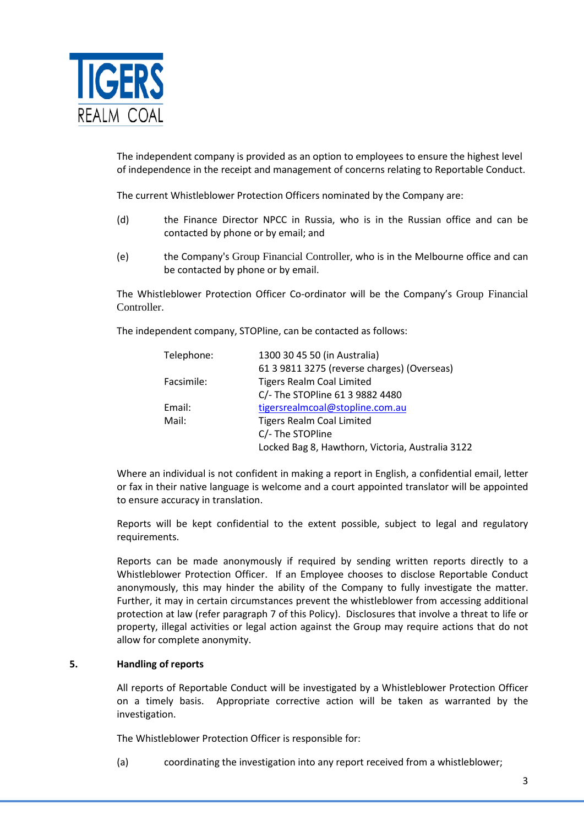

The independent company is provided as an option to employees to ensure the highest level of independence in the receipt and management of concerns relating to Reportable Conduct.

The current Whistleblower Protection Officers nominated by the Company are:

- (d) the Finance Director NPCC in Russia, who is in the Russian office and can be contacted by phone or by email; and
- (e) the Company's Group Financial Controller, who is in the Melbourne office and can be contacted by phone or by email.

The Whistleblower Protection Officer Co-ordinator will be the Company's Group Financial Controller.

The independent company, STOPline, can be contacted as follows:

| Telephone: | 1300 30 45 50 (in Australia)                     |
|------------|--------------------------------------------------|
|            | 61 3 9811 3275 (reverse charges) (Overseas)      |
| Facsimile: | <b>Tigers Realm Coal Limited</b>                 |
|            | C/- The STOPline 61 3 9882 4480                  |
| Email:     | tigersrealmcoal@stopline.com.au                  |
| Mail:      | <b>Tigers Realm Coal Limited</b>                 |
|            | C/- The STOPline                                 |
|            | Locked Bag 8, Hawthorn, Victoria, Australia 3122 |

Where an individual is not confident in making a report in English, a confidential email, letter or fax in their native language is welcome and a court appointed translator will be appointed to ensure accuracy in translation.

Reports will be kept confidential to the extent possible, subject to legal and regulatory requirements.

Reports can be made anonymously if required by sending written reports directly to a Whistleblower Protection Officer. If an Employee chooses to disclose Reportable Conduct anonymously, this may hinder the ability of the Company to fully investigate the matter. Further, it may in certain circumstances prevent the whistleblower from accessing additional protection at law (refer paragraph 7 of this Policy). Disclosures that involve a threat to life or property, illegal activities or legal action against the Group may require actions that do not allow for complete anonymity.

## **5. Handling of reports**

All reports of Reportable Conduct will be investigated by a Whistleblower Protection Officer on a timely basis. Appropriate corrective action will be taken as warranted by the investigation.

The Whistleblower Protection Officer is responsible for:

(a) coordinating the investigation into any report received from a whistleblower;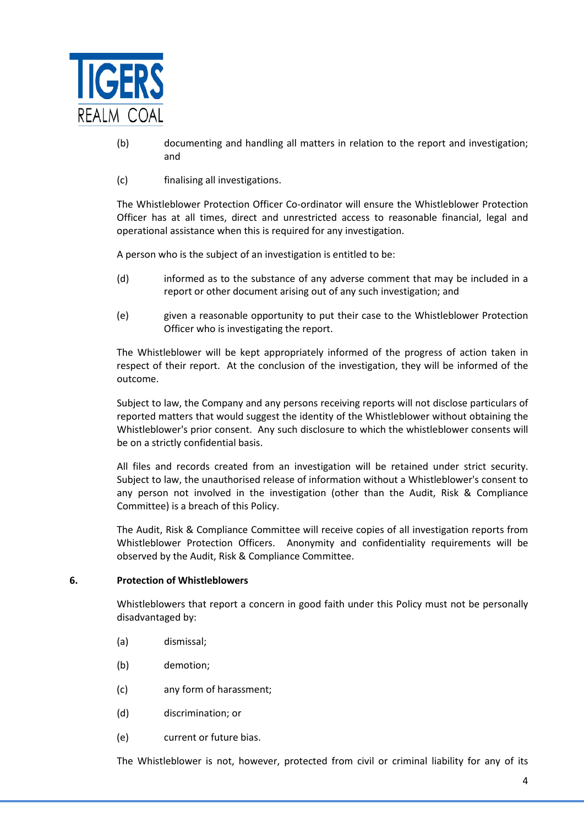

- (b) documenting and handling all matters in relation to the report and investigation; and
- (c) finalising all investigations.

The Whistleblower Protection Officer Co-ordinator will ensure the Whistleblower Protection Officer has at all times, direct and unrestricted access to reasonable financial, legal and operational assistance when this is required for any investigation.

A person who is the subject of an investigation is entitled to be:

- (d) informed as to the substance of any adverse comment that may be included in a report or other document arising out of any such investigation; and
- (e) given a reasonable opportunity to put their case to the Whistleblower Protection Officer who is investigating the report.

The Whistleblower will be kept appropriately informed of the progress of action taken in respect of their report. At the conclusion of the investigation, they will be informed of the outcome.

Subject to law, the Company and any persons receiving reports will not disclose particulars of reported matters that would suggest the identity of the Whistleblower without obtaining the Whistleblower's prior consent. Any such disclosure to which the whistleblower consents will be on a strictly confidential basis.

All files and records created from an investigation will be retained under strict security. Subject to law, the unauthorised release of information without a Whistleblower's consent to any person not involved in the investigation (other than the Audit, Risk & Compliance Committee) is a breach of this Policy.

The Audit, Risk & Compliance Committee will receive copies of all investigation reports from Whistleblower Protection Officers. Anonymity and confidentiality requirements will be observed by the Audit, Risk & Compliance Committee.

#### **6. Protection of Whistleblowers**

Whistleblowers that report a concern in good faith under this Policy must not be personally disadvantaged by:

- (a) dismissal;
- (b) demotion;
- (c) any form of harassment;
- (d) discrimination; or
- (e) current or future bias.

The Whistleblower is not, however, protected from civil or criminal liability for any of its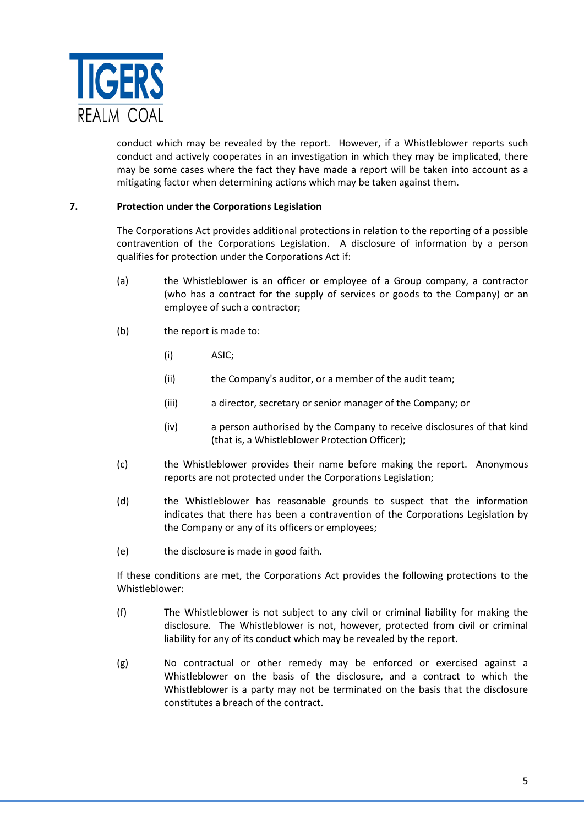

conduct which may be revealed by the report. However, if a Whistleblower reports such conduct and actively cooperates in an investigation in which they may be implicated, there may be some cases where the fact they have made a report will be taken into account as a mitigating factor when determining actions which may be taken against them.

### **7. Protection under the Corporations Legislation**

The Corporations Act provides additional protections in relation to the reporting of a possible contravention of the Corporations Legislation. A disclosure of information by a person qualifies for protection under the Corporations Act if:

- (a) the Whistleblower is an officer or employee of a Group company, a contractor (who has a contract for the supply of services or goods to the Company) or an employee of such a contractor;
- (b) the report is made to:
	- (i) ASIC;
	- (ii) the Company's auditor, or a member of the audit team;
	- (iii) a director, secretary or senior manager of the Company; or
	- (iv) a person authorised by the Company to receive disclosures of that kind (that is, a Whistleblower Protection Officer);
- (c) the Whistleblower provides their name before making the report. Anonymous reports are not protected under the Corporations Legislation;
- (d) the Whistleblower has reasonable grounds to suspect that the information indicates that there has been a contravention of the Corporations Legislation by the Company or any of its officers or employees;
- (e) the disclosure is made in good faith.

If these conditions are met, the Corporations Act provides the following protections to the Whistleblower:

- (f) The Whistleblower is not subject to any civil or criminal liability for making the disclosure. The Whistleblower is not, however, protected from civil or criminal liability for any of its conduct which may be revealed by the report.
- (g) No contractual or other remedy may be enforced or exercised against a Whistleblower on the basis of the disclosure, and a contract to which the Whistleblower is a party may not be terminated on the basis that the disclosure constitutes a breach of the contract.